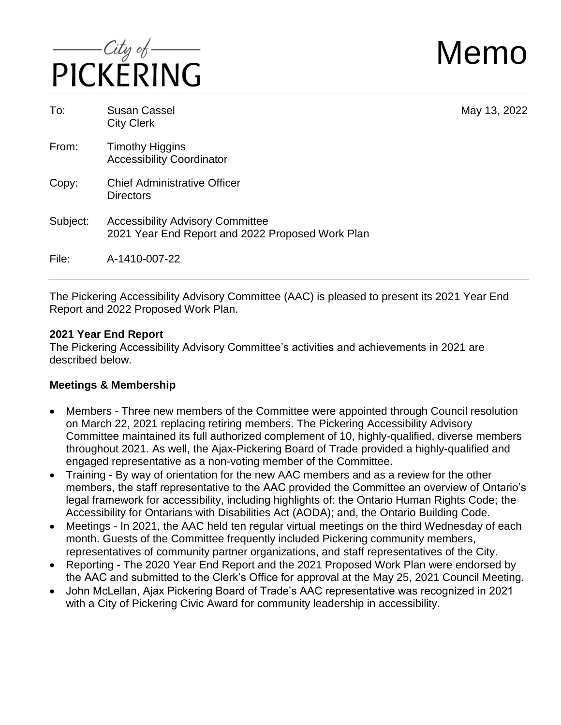

Memo

| To:      | <b>Susan Cassel</b><br><b>City Clerk</b>                                                    | May 13, 2022 |
|----------|---------------------------------------------------------------------------------------------|--------------|
| From:    | <b>Timothy Higgins</b><br><b>Accessibility Coordinator</b>                                  |              |
| Copy:    | <b>Chief Administrative Officer</b><br><b>Directors</b>                                     |              |
| Subject: | <b>Accessibility Advisory Committee</b><br>2021 Year End Report and 2022 Proposed Work Plan |              |
| File:    | A-1410-007-22                                                                               |              |

The Pickering Accessibility Advisory Committee (AAC) is pleased to present its 2021 Year End Report and 2022 Proposed Work Plan.

#### **2021 Year End Report**

The Pickering Accessibility Advisory Committee's activities and achievements in 2021 are described below.

### **Meetings & Membership**

- Members Three new members of the Committee were appointed through Council resolution on March 22, 2021 replacing retiring members. The Pickering Accessibility Advisory Committee maintained its full authorized complement of 10, highly-qualified, diverse members throughout 2021. As well, the Ajax-Pickering Board of Trade provided a highly-qualified and engaged representative as a non-voting member of the Committee.
- Training By way of orientation for the new AAC members and as a review for the other members, the staff representative to the AAC provided the Committee an overview of Ontario's legal framework for accessibility, including highlights of: the Ontario Human Rights Code; the Accessibility for Ontarians with Disabilities Act (AODA); and, the Ontario Building Code.
- Meetings In 2021, the AAC held ten regular virtual meetings on the third Wednesday of each month. Guests of the Committee frequently included Pickering community members, representatives of community partner organizations, and staff representatives of the City.
- Reporting The 2020 Year End Report and the 2021 Proposed Work Plan were endorsed by the AAC and submitted to the Clerk's Office for approval at the May 25, 2021 Council Meeting.
- John McLellan, Ajax Pickering Board of Trade's AAC representative was recognized in 2021 with a City of Pickering Civic Award for community leadership in accessibility.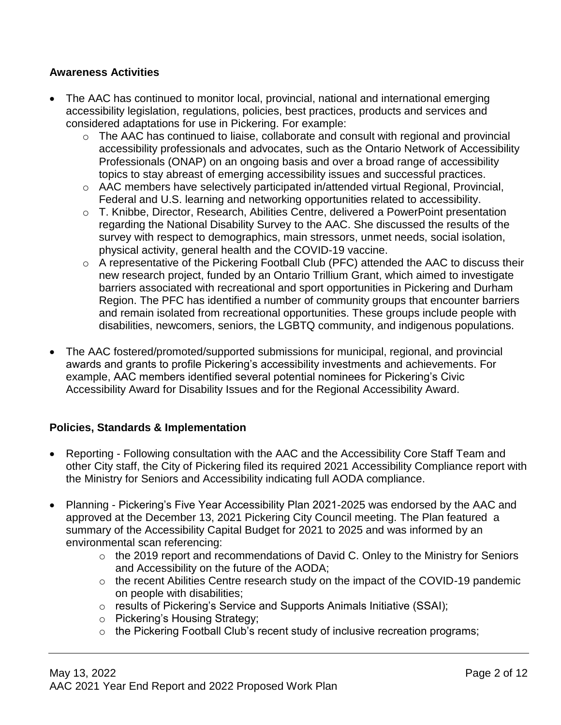### **Awareness Activities**

- The AAC has continued to monitor local, provincial, national and international emerging accessibility legislation, regulations, policies, best practices, products and services and considered adaptations for use in Pickering. For example:
	- o The AAC has continued to liaise, collaborate and consult with regional and provincial accessibility professionals and advocates, such as the Ontario Network of Accessibility Professionals (ONAP) on an ongoing basis and over a broad range of accessibility topics to stay abreast of emerging accessibility issues and successful practices.
	- o AAC members have selectively participated in/attended virtual Regional, Provincial, Federal and U.S. learning and networking opportunities related to accessibility.
	- o T. Knibbe, Director, Research, Abilities Centre, delivered a PowerPoint presentation regarding the National Disability Survey to the AAC. She discussed the results of the survey with respect to demographics, main stressors, unmet needs, social isolation, physical activity, general health and the COVID-19 vaccine.
	- o A representative of the Pickering Football Club (PFC) attended the AAC to discuss their new research project, funded by an Ontario Trillium Grant, which aimed to investigate barriers associated with recreational and sport opportunities in Pickering and Durham Region. The PFC has identified a number of community groups that encounter barriers and remain isolated from recreational opportunities. These groups include people with disabilities, newcomers, seniors, the LGBTQ community, and indigenous populations.
- The AAC fostered/promoted/supported submissions for municipal, regional, and provincial awards and grants to profile Pickering's accessibility investments and achievements. For example, AAC members identified several potential nominees for Pickering's Civic Accessibility Award for Disability Issues and for the Regional Accessibility Award.

#### **Policies, Standards & Implementation**

- Reporting Following consultation with the AAC and the Accessibility Core Staff Team and other City staff, the City of Pickering filed its required 2021 Accessibility Compliance report with the Ministry for Seniors and Accessibility indicating full AODA compliance.
- Planning Pickering's Five Year Accessibility Plan 2021-2025 was endorsed by the AAC and approved at the December 13, 2021 Pickering City Council meeting. The Plan featured a summary of the Accessibility Capital Budget for 2021 to 2025 and was informed by an environmental scan referencing:
	- o the 2019 report and recommendations of David C. Onley to the Ministry for Seniors and Accessibility on the future of the AODA;
	- o the recent Abilities Centre research study on the impact of the COVID-19 pandemic on people with disabilities;
	- o results of Pickering's Service and Supports Animals Initiative (SSAI);
	- o Pickering's Housing Strategy;
	- o the Pickering Football Club's recent study of inclusive recreation programs;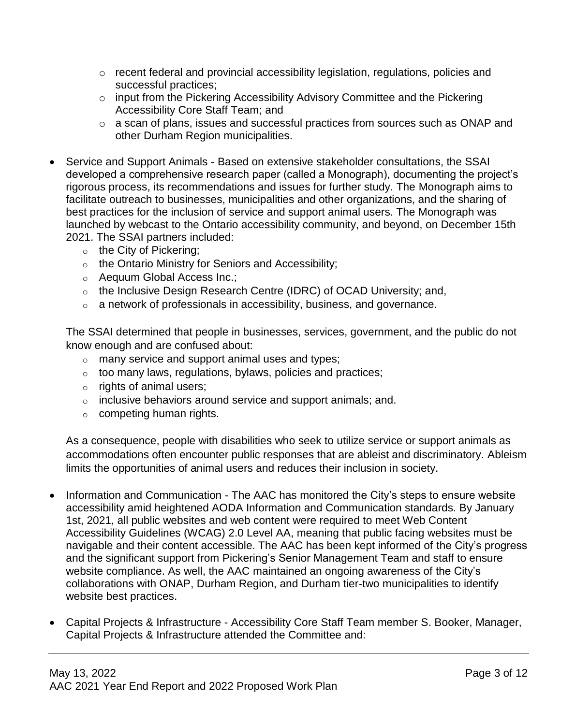- o recent federal and provincial accessibility legislation, regulations, policies and successful practices;
- o input from the Pickering Accessibility Advisory Committee and the Pickering Accessibility Core Staff Team; and
- o a scan of plans, issues and successful practices from sources such as ONAP and other Durham Region municipalities.
- Service and Support Animals Based on extensive stakeholder consultations, the SSAI developed a comprehensive research paper (called a Monograph), documenting the project's rigorous process, its recommendations and issues for further study. The [Monograph](https://www.pickering.ca/en/living/resources/Programs/Accessibility/SSAI---Service-and-Support-Animals-in-Our-Community---A-Monograph_Final.pdf) aims to facilitate outreach to businesses, municipalities and other organizations, and the sharing of best practices for the inclusion of service and support animal users. The Monograph was launched by webcast to the Ontario accessibility community, and beyond, on December 15th 2021. The SSAI partners included:
	- $\circ$  the City of Pickering;
	- o the Ontario Ministry for Seniors and Accessibility;
	- o Aequum Global Access Inc.;
	- o the Inclusive Design Research Centre (IDRC) of OCAD University; and,
	- o a network of professionals in accessibility, business, and governance.

The SSAI determined that people in businesses, services, government, and the public do not know enough and are confused about:

- o many service and support animal uses and types;
- $\circ$  too many laws, regulations, bylaws, policies and practices;
- o rights of animal users;
- $\circ$  inclusive behaviors around service and support animals; and.
- $\circ$  competing human rights.

As a consequence, people with disabilities who seek to utilize service or support animals as accommodations often encounter public responses that are ableist and discriminatory. Ableism limits the opportunities of animal users and reduces their inclusion in society.

- Information and Communication The AAC has monitored the City's steps to ensure website accessibility amid heightened AODA Information and Communication standards. By January 1st, 2021, all public websites and web content were required to meet Web Content Accessibility Guidelines (WCAG) 2.0 Level AA, meaning that public facing websites must be navigable and their content accessible. The AAC has been kept informed of the City's progress and the significant support from Pickering's Senior Management Team and staff to ensure website compliance. As well, the AAC maintained an ongoing awareness of the City's collaborations with ONAP, Durham Region, and Durham tier-two municipalities to identify website best practices.
- Capital Projects & Infrastructure Accessibility Core Staff Team member S. Booker, Manager, Capital Projects & Infrastructure attended the Committee and: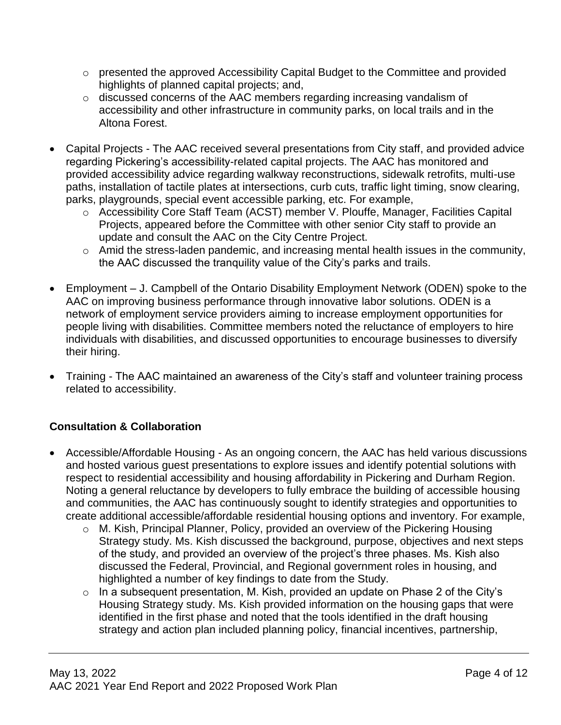- o presented the approved Accessibility Capital Budget to the Committee and provided highlights of planned capital projects; and,
- o discussed concerns of the AAC members regarding increasing vandalism of accessibility and other infrastructure in community parks, on local trails and in the Altona Forest.
- Capital Projects The AAC received several presentations from City staff, and provided advice regarding Pickering's accessibility-related capital projects. The AAC has monitored and provided accessibility advice regarding walkway reconstructions, sidewalk retrofits, multi-use paths, installation of tactile plates at intersections, curb cuts, traffic light timing, snow clearing, parks, playgrounds, special event accessible parking, etc. For example,
	- o Accessibility Core Staff Team (ACST) member V. Plouffe, Manager, Facilities Capital Projects, appeared before the Committee with other senior City staff to provide an update and consult the AAC on the City Centre Project.
	- o Amid the stress-laden pandemic, and increasing mental health issues in the community, the AAC discussed the tranquility value of the City's parks and trails.
- Employment J. Campbell of the Ontario Disability Employment Network (ODEN) spoke to the AAC on improving business performance through innovative labor solutions. ODEN is a network of employment service providers aiming to increase employment opportunities for people living with disabilities. Committee members noted the reluctance of employers to hire individuals with disabilities, and discussed opportunities to encourage businesses to diversify their hiring.
- Training The AAC maintained an awareness of the City's staff and volunteer training process related to accessibility.

# **Consultation & Collaboration**

- Accessible/Affordable Housing As an ongoing concern, the AAC has held various discussions and hosted various guest presentations to explore issues and identify potential solutions with respect to residential accessibility and housing affordability in Pickering and Durham Region. Noting a general reluctance by developers to fully embrace the building of accessible housing and communities, the AAC has continuously sought to identify strategies and opportunities to create additional accessible/affordable residential housing options and inventory. For example,
	- o M. Kish, Principal Planner, Policy, provided an overview of the Pickering Housing Strategy study. Ms. Kish discussed the background, purpose, objectives and next steps of the study, and provided an overview of the project's three phases. Ms. Kish also discussed the Federal, Provincial, and Regional government roles in housing, and highlighted a number of key findings to date from the Study.
	- o In a subsequent presentation, M. Kish, provided an update on Phase 2 of the City's Housing Strategy study. Ms. Kish provided information on the housing gaps that were identified in the first phase and noted that the tools identified in the draft housing strategy and action plan included planning policy, financial incentives, partnership,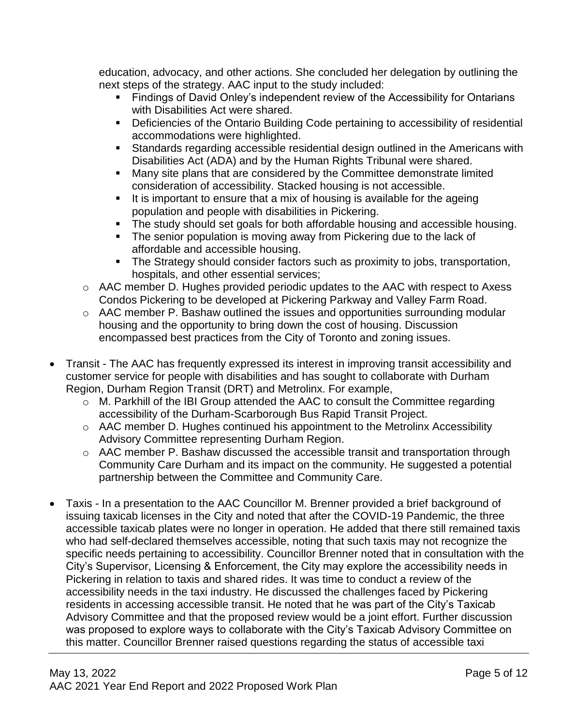education, advocacy, and other actions. She concluded her delegation by outlining the next steps of the strategy. AAC input to the study included:

- **Findings of David Onley's independent review of the Accessibility for Ontarians** with Disabilities Act were shared.
- Deficiencies of the Ontario Building Code pertaining to accessibility of residential accommodations were highlighted.
- Standards regarding accessible residential design outlined in the Americans with Disabilities Act (ADA) and by the Human Rights Tribunal were shared.
- **Many site plans that are considered by the Committee demonstrate limited** consideration of accessibility. Stacked housing is not accessible.
- It is important to ensure that a mix of housing is available for the ageing population and people with disabilities in Pickering.
- The study should set goals for both affordable housing and accessible housing.
- The senior population is moving away from Pickering due to the lack of affordable and accessible housing.
- The Strategy should consider factors such as proximity to jobs, transportation, hospitals, and other essential services;
- o AAC member D. Hughes provided periodic updates to the AAC with respect to Axess Condos Pickering to be developed at Pickering Parkway and Valley Farm Road.
- o AAC member P. Bashaw outlined the issues and opportunities surrounding modular housing and the opportunity to bring down the cost of housing. Discussion encompassed best practices from the City of Toronto and zoning issues.
- Transit The AAC has frequently expressed its interest in improving transit accessibility and customer service for people with disabilities and has sought to collaborate with Durham Region, Durham Region Transit (DRT) and Metrolinx. For example,
	- $\circ$  M. Parkhill of the IBI Group attended the AAC to consult the Committee regarding accessibility of the Durham-Scarborough Bus Rapid Transit Project.
	- o AAC member D. Hughes continued his appointment to the Metrolinx Accessibility Advisory Committee representing Durham Region.
	- o AAC member P. Bashaw discussed the accessible transit and transportation through Community Care Durham and its impact on the community. He suggested a potential partnership between the Committee and Community Care.
- Taxis In a presentation to the AAC Councillor M. Brenner provided a brief background of issuing taxicab licenses in the City and noted that after the COVID-19 Pandemic, the three accessible taxicab plates were no longer in operation. He added that there still remained taxis who had self-declared themselves accessible, noting that such taxis may not recognize the specific needs pertaining to accessibility. Councillor Brenner noted that in consultation with the City's Supervisor, Licensing & Enforcement, the City may explore the accessibility needs in Pickering in relation to taxis and shared rides. It was time to conduct a review of the accessibility needs in the taxi industry. He discussed the challenges faced by Pickering residents in accessing accessible transit. He noted that he was part of the City's Taxicab Advisory Committee and that the proposed review would be a joint effort. Further discussion was proposed to explore ways to collaborate with the City's Taxicab Advisory Committee on this matter. Councillor Brenner raised questions regarding the status of accessible taxi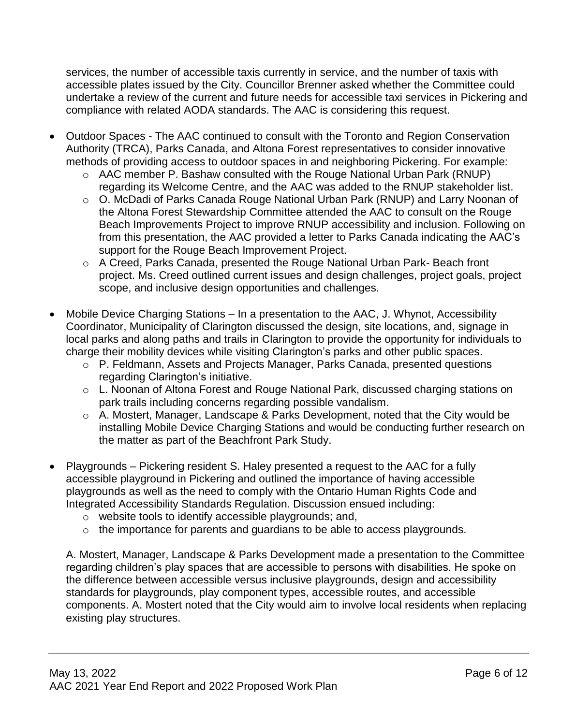services, the number of accessible taxis currently in service, and the number of taxis with accessible plates issued by the City. Councillor Brenner asked whether the Committee could undertake a review of the current and future needs for accessible taxi services in Pickering and compliance with related AODA standards. The AAC is considering this request.

- Outdoor Spaces The AAC continued to consult with the Toronto and Region Conservation Authority (TRCA), Parks Canada, and Altona Forest representatives to consider innovative methods of providing access to outdoor spaces in and neighboring Pickering. For example:
	- o AAC member P. Bashaw consulted with the Rouge National Urban Park (RNUP) regarding its Welcome Centre, and the AAC was added to the RNUP stakeholder list.
	- o O. McDadi of Parks Canada Rouge National Urban Park (RNUP) and Larry Noonan of the Altona Forest Stewardship Committee attended the AAC to consult on the Rouge Beach Improvements Project to improve RNUP accessibility and inclusion. Following on from this presentation, the AAC provided a letter to Parks Canada indicating the AAC's support for the Rouge Beach Improvement Project.
	- o A Creed, Parks Canada, presented the Rouge National Urban Park- Beach front project. Ms. Creed outlined current issues and design challenges, project goals, project scope, and inclusive design opportunities and challenges.
- Mobile Device Charging Stations In a presentation to the AAC, J. Whynot, Accessibility Coordinator, Municipality of Clarington discussed the design, site locations, and, signage in local parks and along paths and trails in Clarington to provide the opportunity for individuals to charge their mobility devices while visiting Clarington's parks and other public spaces.
	- o P. Feldmann, Assets and Projects Manager, Parks Canada, presented questions regarding Clarington's initiative.
	- o L. Noonan of Altona Forest and Rouge National Park, discussed charging stations on park trails including concerns regarding possible vandalism.
	- o A. Mostert, Manager, Landscape & Parks Development, noted that the City would be installing Mobile Device Charging Stations and would be conducting further research on the matter as part of the Beachfront Park Study.
- Playgrounds Pickering resident S. Haley presented a request to the AAC for a fully accessible playground in Pickering and outlined the importance of having accessible playgrounds as well as the need to comply with the Ontario Human Rights Code and Integrated Accessibility Standards Regulation. Discussion ensued including:
	- o website tools to identify accessible playgrounds; and,
	- o the importance for parents and guardians to be able to access playgrounds.

A. Mostert, Manager, Landscape & Parks Development made a presentation to the Committee regarding children's play spaces that are accessible to persons with disabilities. He spoke on the difference between accessible versus inclusive playgrounds, design and accessibility standards for playgrounds, play component types, accessible routes, and accessible components. A. Mostert noted that the City would aim to involve local residents when replacing existing play structures.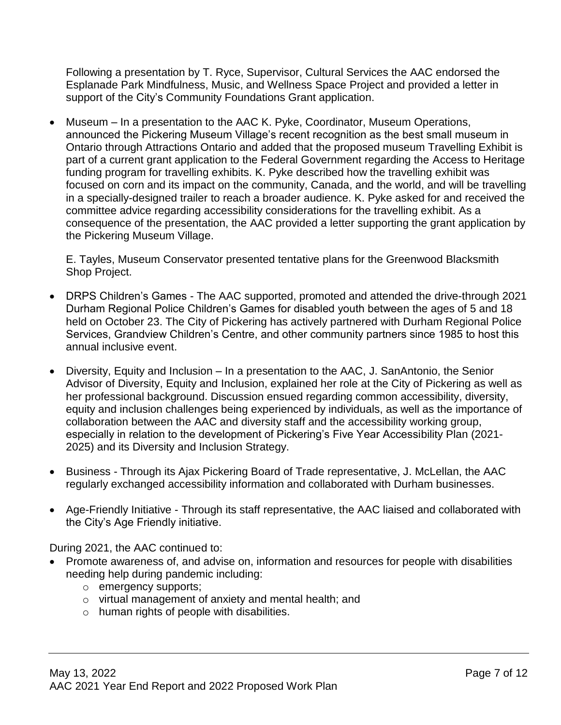Following a presentation by T. Ryce, Supervisor, Cultural Services the AAC endorsed the Esplanade Park Mindfulness, Music, and Wellness Space Project and provided a letter in support of the City's Community Foundations Grant application.

 Museum – In a presentation to the AAC K. Pyke, Coordinator, Museum Operations, announced the Pickering Museum Village's recent recognition as the best small museum in Ontario through Attractions Ontario and added that the proposed museum Travelling Exhibit is part of a current grant application to the Federal Government regarding the Access to Heritage funding program for travelling exhibits. K. Pyke described how the travelling exhibit was focused on corn and its impact on the community, Canada, and the world, and will be travelling in a specially-designed trailer to reach a broader audience. K. Pyke asked for and received the committee advice regarding accessibility considerations for the travelling exhibit. As a consequence of the presentation, the AAC provided a letter supporting the grant application by the Pickering Museum Village.

E. Tayles, Museum Conservator presented tentative plans for the Greenwood Blacksmith Shop Project.

- DRPS Children's Games The AAC supported, promoted and attended the drive-through 2021 Durham Regional Police Children's Games for disabled youth between the ages of 5 and 18 held on October 23. The City of Pickering has actively partnered with Durham Regional Police Services, Grandview Children's Centre, and other community partners since 1985 to host this annual inclusive event.
- Diversity, Equity and Inclusion In a presentation to the AAC, J. SanAntonio, the Senior Advisor of Diversity, Equity and Inclusion, explained her role at the City of Pickering as well as her professional background. Discussion ensued regarding common accessibility, diversity, equity and inclusion challenges being experienced by individuals, as well as the importance of collaboration between the AAC and diversity staff and the accessibility working group, especially in relation to the development of Pickering's Five Year Accessibility Plan (2021- 2025) and its Diversity and Inclusion Strategy.
- Business Through its Ajax Pickering Board of Trade representative, J. McLellan, the AAC regularly exchanged accessibility information and collaborated with Durham businesses.
- Age-Friendly Initiative Through its staff representative, the AAC liaised and collaborated with the City's Age Friendly initiative.

During 2021, the AAC continued to:

- Promote awareness of, and advise on, information and resources for people with disabilities needing help during pandemic including:
	- o emergency supports;
	- o virtual management of anxiety and mental health; and
	- o human rights of people with disabilities.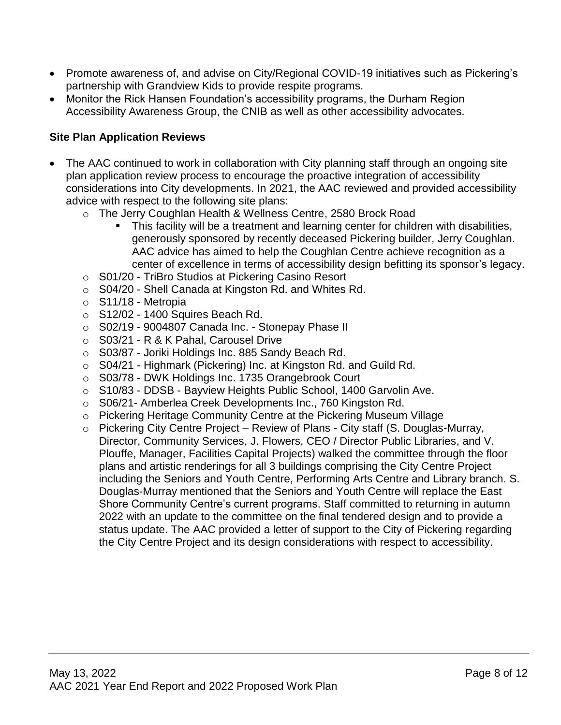- Promote awareness of, and advise on City/Regional COVID-19 initiatives such as Pickering's partnership with Grandview Kids to provide respite programs.
- Monitor the Rick Hansen Foundation's accessibility programs, the Durham Region Accessibility Awareness Group, the CNIB as well as other accessibility advocates.

### **Site Plan Application Reviews**

- The AAC continued to work in collaboration with City planning staff through an ongoing site plan application review process to encourage the proactive integration of accessibility considerations into City developments. In 2021, the AAC reviewed and provided accessibility advice with respect to the following site plans:
	- o The Jerry Coughlan Health & Wellness Centre, 2580 Brock Road
		- This facility will be a treatment and learning center for children with disabilities, generously sponsored by recently deceased Pickering builder, Jerry Coughlan. AAC advice has aimed to help the Coughlan Centre achieve recognition as a center of excellence in terms of accessibility design befitting its sponsor's legacy.
	- o S01/20 TriBro Studios at Pickering Casino Resort
	- o S04/20 Shell Canada at Kingston Rd. and Whites Rd.
	- o S11/18 Metropia
	- $\circ$  S12/02 1400 Squires Beach Rd.
	- o S02/19 9004807 Canada Inc. Stonepay Phase II
	- o S03/21 R & K Pahal, Carousel Drive
	- o S03/87 Joriki Holdings Inc. 885 Sandy Beach Rd.
	- o S04/21 Highmark (Pickering) Inc. at Kingston Rd. and Guild Rd.
	- o S03/78 DWK Holdings Inc. 1735 Orangebrook Court
	- o S10/83 DDSB Bayview Heights Public School, 1400 Garvolin Ave.
	- o S06/21- Amberlea Creek Developments Inc., 760 Kingston Rd.
	- o Pickering Heritage Community Centre at the Pickering Museum Village
	- o Pickering City Centre Project Review of Plans City staff (S. Douglas-Murray, Director, Community Services, J. Flowers, CEO / Director Public Libraries, and V. Plouffe, Manager, Facilities Capital Projects) walked the committee through the floor plans and artistic renderings for all 3 buildings comprising the City Centre Project including the Seniors and Youth Centre, Performing Arts Centre and Library branch. S. Douglas-Murray mentioned that the Seniors and Youth Centre will replace the East Shore Community Centre's current programs. Staff committed to returning in autumn 2022 with an update to the committee on the final tendered design and to provide a status update. The AAC provided a letter of support to the City of Pickering regarding the City Centre Project and its design considerations with respect to accessibility.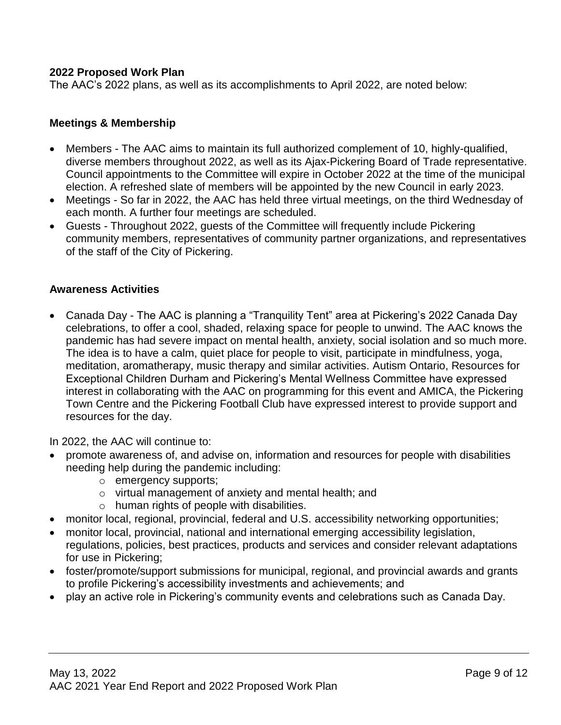#### **2022 Proposed Work Plan**

The AAC's 2022 plans, as well as its accomplishments to April 2022, are noted below:

#### **Meetings & Membership**

- Members The AAC aims to maintain its full authorized complement of 10, highly-qualified, diverse members throughout 2022, as well as its Ajax-Pickering Board of Trade representative. Council appointments to the Committee will expire in October 2022 at the time of the municipal election. A refreshed slate of members will be appointed by the new Council in early 2023.
- Meetings So far in 2022, the AAC has held three virtual meetings, on the third Wednesday of each month. A further four meetings are scheduled.
- Guests Throughout 2022, guests of the Committee will frequently include Pickering community members, representatives of community partner organizations, and representatives of the staff of the City of Pickering.

#### **Awareness Activities**

 Canada Day - The AAC is planning a "Tranquility Tent" area at Pickering's 2022 Canada Day celebrations, to offer a cool, shaded, relaxing space for people to unwind. The AAC knows the pandemic has had severe impact on mental health, anxiety, social isolation and so much more. The idea is to have a calm, quiet place for people to visit, participate in mindfulness, yoga, meditation, aromatherapy, music therapy and similar activities. Autism Ontario, Resources for Exceptional Children Durham and Pickering's Mental Wellness Committee have expressed interest in collaborating with the AAC on programming for this event and AMICA, the Pickering Town Centre and the Pickering Football Club have expressed interest to provide support and resources for the day.

In 2022, the AAC will continue to:

- promote awareness of, and advise on, information and resources for people with disabilities needing help during the pandemic including:
	- o emergency supports;
	- o virtual management of anxiety and mental health; and
	- o human rights of people with disabilities.
- monitor local, regional, provincial, federal and U.S. accessibility networking opportunities;
- monitor local, provincial, national and international emerging accessibility legislation, regulations, policies, best practices, products and services and consider relevant adaptations
- for use in Pickering; foster/promote/support submissions for municipal, regional, and provincial awards and grants to profile Pickering's accessibility investments and achievements; and
- play an active role in Pickering's community events and celebrations such as Canada Day.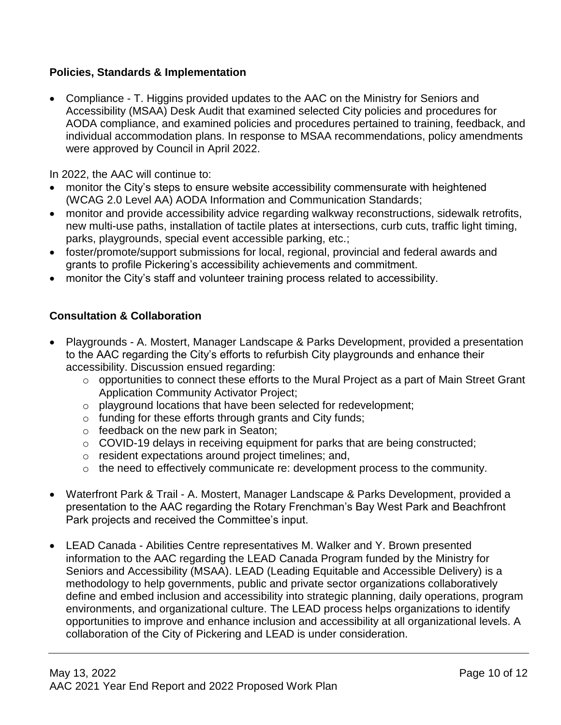### **Policies, Standards & Implementation**

 Compliance - T. Higgins provided updates to the AAC on the Ministry for Seniors and Accessibility (MSAA) Desk Audit that examined selected City policies and procedures for AODA compliance, and examined policies and procedures pertained to training, feedback, and individual accommodation plans. In response to MSAA recommendations, policy amendments were approved by Council in April 2022.

In 2022, the AAC will continue to:

- monitor the City's steps to ensure website accessibility commensurate with heightened (WCAG 2.0 Level AA) AODA Information and Communication Standards;
- monitor and provide accessibility advice regarding walkway reconstructions, sidewalk retrofits, new multi-use paths, installation of tactile plates at intersections, curb cuts, traffic light timing, parks, playgrounds, special event accessible parking, etc.;
- foster/promote/support submissions for local, regional, provincial and federal awards and grants to profile Pickering's accessibility achievements and commitment.
- monitor the City's staff and volunteer training process related to accessibility.

### **Consultation & Collaboration**

- Playgrounds A. Mostert, Manager Landscape & Parks Development, provided a presentation to the AAC regarding the City's efforts to refurbish City playgrounds and enhance their accessibility. Discussion ensued regarding:
	- o opportunities to connect these efforts to the Mural Project as a part of Main Street Grant Application Community Activator Project;
	- o playground locations that have been selected for redevelopment;
	- o funding for these efforts through grants and City funds;
	- o feedback on the new park in Seaton;
	- o COVID-19 delays in receiving equipment for parks that are being constructed;
	- o resident expectations around project timelines; and,
	- o the need to effectively communicate re: development process to the community.
- Waterfront Park & Trail A. Mostert, Manager Landscape & Parks Development, provided a presentation to the AAC regarding the Rotary Frenchman's Bay West Park and Beachfront Park projects and received the Committee's input.
- LEAD Canada Abilities Centre representatives M. Walker and Y. Brown presented information to the AAC regarding the LEAD Canada Program funded by the Ministry for Seniors and Accessibility (MSAA). LEAD (Leading Equitable and Accessible Delivery) is a methodology to help governments, public and private sector organizations collaboratively define and embed inclusion and accessibility into strategic planning, daily operations, program environments, and organizational culture. The LEAD process helps organizations to identify opportunities to improve and enhance inclusion and accessibility at all organizational levels. A collaboration of the City of Pickering and LEAD is under consideration.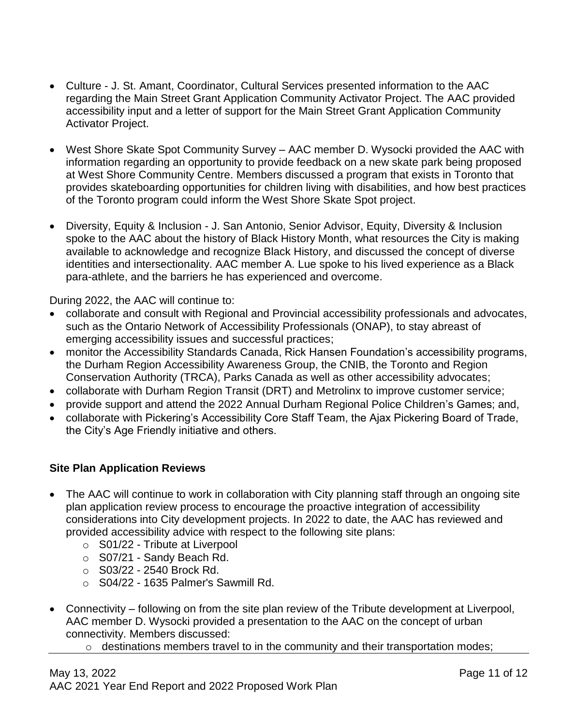- Culture J. St. Amant, Coordinator, Cultural Services presented information to the AAC regarding the Main Street Grant Application Community Activator Project. The AAC provided accessibility input and a letter of support for the Main Street Grant Application Community Activator Project.
- West Shore Skate Spot Community Survey AAC member D. Wysocki provided the AAC with information regarding an opportunity to provide feedback on a new skate park being proposed at West Shore Community Centre. Members discussed a program that exists in Toronto that provides skateboarding opportunities for children living with disabilities, and how best practices of the Toronto program could inform the West Shore Skate Spot project.
- Diversity, Equity & Inclusion J. San Antonio, Senior Advisor, Equity, Diversity & Inclusion spoke to the AAC about the history of Black History Month, what resources the City is making available to acknowledge and recognize Black History, and discussed the concept of diverse identities and intersectionality. AAC member A. Lue spoke to his lived experience as a Black para-athlete, and the barriers he has experienced and overcome.

During 2022, the AAC will continue to:

- collaborate and consult with Regional and Provincial accessibility professionals and advocates, such as the Ontario Network of Accessibility Professionals (ONAP), to stay abreast of emerging accessibility issues and successful practices;
- monitor the Accessibility Standards Canada, Rick Hansen Foundation's accessibility programs, the Durham Region Accessibility Awareness Group, the CNIB, the Toronto and Region Conservation Authority (TRCA), Parks Canada as well as other accessibility advocates;
- collaborate with Durham Region Transit (DRT) and Metrolinx to improve customer service;
- provide support and attend the 2022 Annual Durham Regional Police Children's Games; and,
- collaborate with Pickering's Accessibility Core Staff Team, the Ajax Pickering Board of Trade, the City's Age Friendly initiative and others.

## **Site Plan Application Reviews**

- The AAC will continue to work in collaboration with City planning staff through an ongoing site plan application review process to encourage the proactive integration of accessibility considerations into City development projects. In 2022 to date, the AAC has reviewed and provided accessibility advice with respect to the following site plans:
	- o S01/22 Tribute at Liverpool
	- o S07/21 Sandy Beach Rd.
	- o S03/22 2540 Brock Rd.
	- $\circ$  S04/22 1635 Palmer's Sawmill Rd.
- Connectivity following on from the site plan review of the Tribute development at Liverpool, AAC member D. Wysocki provided a presentation to the AAC on the concept of urban connectivity. Members discussed:
	- o destinations members travel to in the community and their transportation modes;